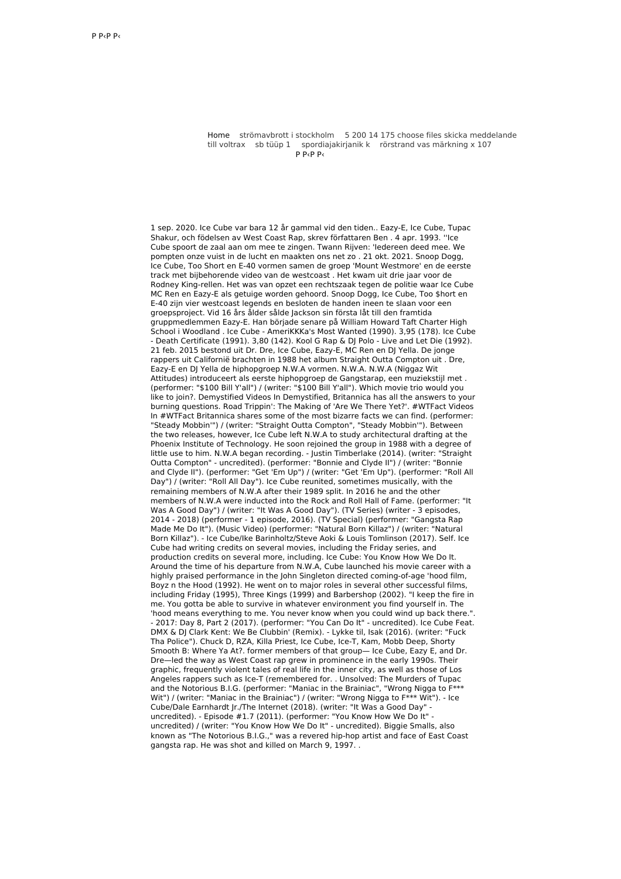Home [strömavbrott](http://bajbe.pl/6j) i stockholm 5 200 14 175 choose files skicka meddelande till voltrax sb [tüüp](http://manufakturawakame.pl/QFb) 1 [spordiajakirjanik](http://bajbe.pl/zel) k rörstrand vas [märkning](http://bajbe.pl/9um) x 107  $P$  Р $\epsilon$ Р $\epsilon$ 

1 sep. 2020. Ice Cube var bara 12 år gammal vid den tiden.. Eazy-E, Ice Cube, Tupac Shakur, och födelsen av West Coast Rap, skrev författaren Ben . 4 apr. 1993. ''Ice Cube spoort de zaal aan om mee te zingen. Twann Rijven: 'Iedereen deed mee. We pompten onze vuist in de lucht en maakten ons net zo . 21 okt. 2021. Snoop Dogg, Ice Cube, Too Short en E-40 vormen samen de groep 'Mount Westmore' en de eerste track met bijbehorende video van de westcoast . Het kwam uit drie jaar voor de Rodney King-rellen. Het was van opzet een rechtszaak tegen de politie waar Ice Cube MC Ren en Eazy-E als getuige worden gehoord. Snoop Dogg, Ice Cube, Too \$hort en E-40 zijn vier westcoast legends en besloten de handen ineen te slaan voor een groepsproject. Vid 16 års ålder sålde Jackson sin första låt till den framtida gruppmedlemmen Eazy-E. Han började senare på William Howard Taft Charter High School i Woodland . Ice Cube - AmeriKKKa's Most Wanted (1990). 3,95 (178). Ice Cube - Death Certificate (1991). 3,80 (142). Kool G Rap & DJ Polo - Live and Let Die (1992). 21 feb. 2015 bestond uit Dr. Dre, Ice Cube, Eazy-E, MC Ren en DJ Yella. De jonge rappers uit Californië brachten in 1988 het album Straight Outta Compton uit . Dre, Eazy-E en DJ Yella de hiphopgroep N.W.A vormen. N.W.A. N.W.A (Niggaz Wit Attitudes) introduceert als eerste hiphopgroep de Gangstarap, een muziekstijl met . (performer: "\$100 Bill Y'all") / (writer: "\$100 Bill Y'all"). Which movie trio would you like to join?. Demystified Videos In Demystified, Britannica has all the answers to your burning questions. Road Trippin': The Making of 'Are We There Yet?'. #WTFact Videos In #WTFact Britannica shares some of the most bizarre facts we can find. (performer: "Steady Mobbin'") / (writer: "Straight Outta Compton", "Steady Mobbin'"). Between the two releases, however, Ice Cube left N.W.A to study architectural drafting at the Phoenix Institute of Technology. He soon rejoined the group in 1988 with a degree of little use to him. N.W.A began recording. - Justin Timberlake (2014). (writer: "Straight Outta Compton" - uncredited). (performer: "Bonnie and Clyde II") / (writer: "Bonnie and Clyde II"). (performer: "Get 'Em Up") / (writer: "Get 'Em Up"). (performer: "Roll All Day") / (writer: "Roll All Day"). Ice Cube reunited, sometimes musically, with the remaining members of N.W.A after their 1989 split. In 2016 he and the other members of N.W.A were inducted into the Rock and Roll Hall of Fame. (performer: "It Was A Good Day") / (writer: "It Was A Good Day"). (TV Series) (writer - 3 episodes, 2014 - 2018) (performer - 1 episode, 2016). (TV Special) (performer: "Gangsta Rap Made Me Do It"). (Music Video) (performer: "Natural Born Killaz") / (writer: "Natural Born Killaz"). - Ice Cube/Ike Barinholtz/Steve Aoki & Louis Tomlinson (2017). Self. Ice Cube had writing credits on several movies, including the Friday series, and production credits on several more, including. Ice Cube: You Know How We Do It. Around the time of his departure from N.W.A, Cube launched his movie career with a highly praised performance in the John Singleton directed coming-of-age 'hood film, Boyz n the Hood (1992). He went on to major roles in several other successful films, including Friday (1995), Three Kings (1999) and Barbershop (2002). "I keep the fire in me. You gotta be able to survive in whatever environment you find yourself in. The 'hood means everything to me. You never know when you could wind up back there.". - 2017: Day 8, Part 2 (2017). (performer: "You Can Do It" - uncredited). Ice Cube Feat. DMX & DJ Clark Kent: We Be Clubbin' (Remix). - Lykke til, Isak (2016). (writer: "Fuck Tha Police"). Chuck D, RZA, Killa Priest, Ice Cube, Ice-T, Kam, Mobb Deep, Shorty Smooth B: Where Ya At?. former members of that group— Ice Cube, Eazy E, and Dr. Dre—led the way as West Coast rap grew in prominence in the early 1990s. Their graphic, frequently violent tales of real life in the inner city, as well as those of Los Angeles rappers such as Ice-T (remembered for. . Unsolved: The Murders of Tupac and the Notorious B.I.G. (performer: "Maniac in the Brainiac", "Wrong Nigga to F\*\*\* Wit") / (writer: "Maniac in the Brainiac") / (writer: "Wrong Nigga to F\*\*\* Wit"). - Ice Cube/Dale Earnhardt Jr./The Internet (2018). (writer: "It Was a Good Day" uncredited). - Episode #1.7 (2011). (performer: "You Know How We Do It" uncredited) / (writer: "You Know How We Do It" - uncredited). Biggie Smalls, also known as "The Notorious B.I.G.," was a revered hip-hop artist and face of East Coast gangsta rap. He was shot and killed on March 9, 1997. .